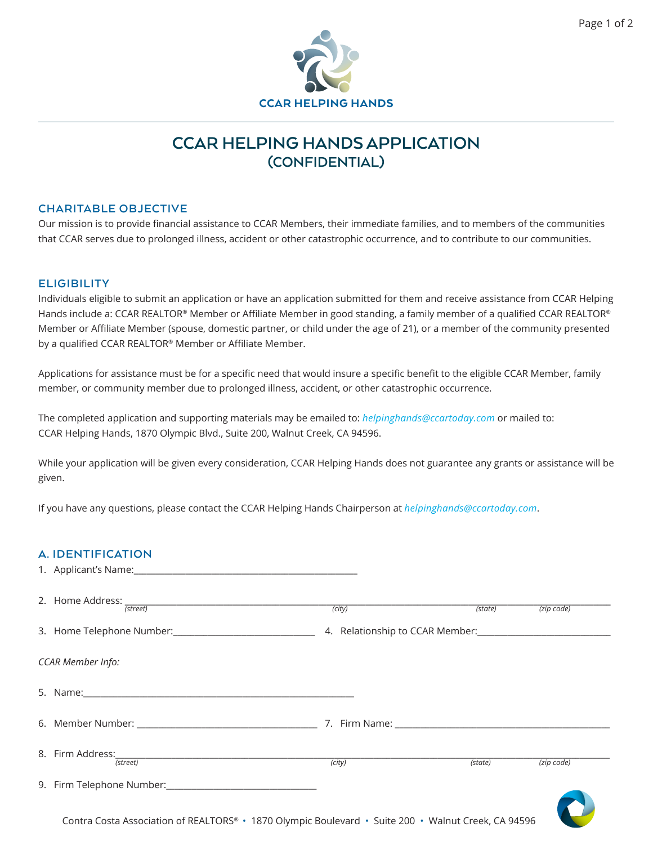

# **CCAR HELPING HANDS APPLICATION (CONFIDENTIAL)**

#### **CHARITABLE OBJECTIVE**

Our mission is to provide financial assistance to CCAR Members, their immediate families, and to members of the communities that CCAR serves due to prolonged illness, accident or other catastrophic occurrence, and to contribute to our communities.

#### **ELIGIBILITY**

Individuals eligible to submit an application or have an application submitted for them and receive assistance from CCAR Helping Hands include a: CCAR REALTOR® Member or Affiliate Member in good standing, a family member of a qualified CCAR REALTOR® Member or Affiliate Member (spouse, domestic partner, or child under the age of 21), or a member of the community presented by a qualified CCAR REALTOR® Member or Affiliate Member.

Applications for assistance must be for a specific need that would insure a specific benefit to the eligible CCAR Member, family member, or community member due to prolonged illness, accident, or other catastrophic occurrence.

The completed application and supporting materials may be emailed to: *helpinghands@ccartoday.com* or mailed to: CCAR Helping Hands, 1870 Olympic Blvd., Suite 200, Walnut Creek, CA 94596.

While your application will be given every consideration, CCAR Helping Hands does not guarantee any grants or assistance will be given.

If you have any questions, please contact the CCAR Helping Hands Chairperson at *helpinghands@ccartoday.com*.

### **A. IDENTIFICATION**

| 2. Home Address: (street)                                                                           | (city) | (state) | $(zip \text{ code})$ |
|-----------------------------------------------------------------------------------------------------|--------|---------|----------------------|
|                                                                                                     |        |         |                      |
| CCAR Member Info:                                                                                   |        |         |                      |
|                                                                                                     |        |         |                      |
|                                                                                                     |        |         |                      |
| 8. Firm Address: (street)                                                                           | (city) | (state) | $(zip \text{ code})$ |
|                                                                                                     |        |         |                      |
| Contra Costa Association of REALTORS® · 1870 Olympic Boulevard · Suite 200 · Walnut Creek, CA 94596 |        |         |                      |